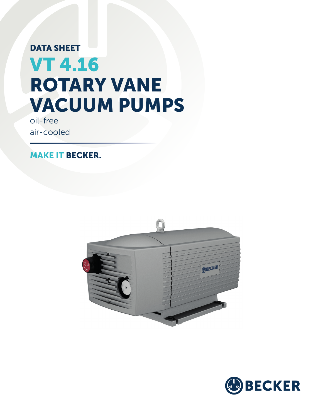# DATA SHEET VT 4.16 ROTARY VANE VACUUM PUMPS

oil-free air-cooled

MAKE IT BECKER.



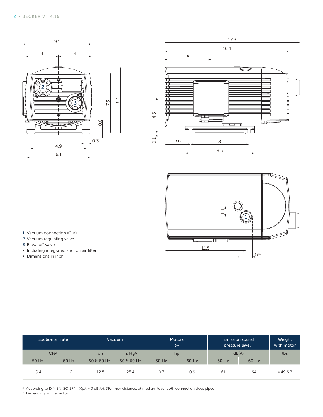





- 1 Vacuum connection (G½)
- 2 Vacuum regulating valve
- 3 Blow-off valve
- **▪** Including integrated suction air filter
- **▪** Dimensions in inch

| Suction air rate |       | <b>Vacuum</b> |          | <b>Motors</b><br>$3\sim$ |       | <b>Emission sound</b><br>pressure level <sup>1)</sup> |       | Weight<br>with motor         |
|------------------|-------|---------------|----------|--------------------------|-------|-------------------------------------------------------|-------|------------------------------|
| <b>CFM</b>       |       | Torr          | in. HgV  | hp                       |       | dB(A)                                                 |       | lbs                          |
| 50 Hz            | 60 Hz | $50.860$ Hz   | 50660 Hz | 50 Hz                    | 60 Hz | 50 Hz                                                 | 60 Hz |                              |
| 9.4              | 11.2  | 112.5         | 25.4     | 0.7                      | 0.9   | 61                                                    | 64    | $\approx$ 49.6 <sup>2)</sup> |

 $^{10}$  According to DIN EN ISO 3744 (KpA = 3 dB(A)), 39.4 inch distance, at medium load, both connection sides piped<br>2) Depending on the motor

Depending on the motor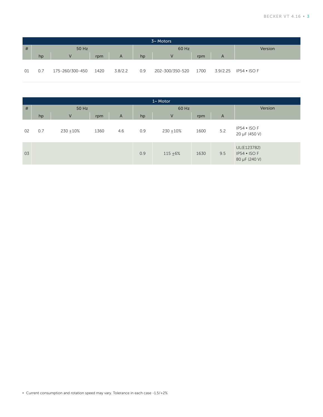| $3~$ Motors |       |                 |      |         |       |                 |      |   |                       |  |
|-------------|-------|-----------------|------|---------|-------|-----------------|------|---|-----------------------|--|
| #           | 50 Hz |                 |      |         | 60 Hz |                 |      |   | Version               |  |
|             | hp    |                 | rpm  | A       | hp    |                 | rpm  | A |                       |  |
| 01          | 0.7   | 175-260/300-450 | 1420 | 3.8/2.2 | 0.9   | 202-300/350-520 | 1700 |   | 3.9/2.25 IP54 • ISO F |  |

| $1~M$ otor |       |              |      |                |       |             |      |                |                                              |
|------------|-------|--------------|------|----------------|-------|-------------|------|----------------|----------------------------------------------|
| #          | 50 Hz |              |      |                | 60 Hz |             |      |                | Version                                      |
|            | hp    | $\vee$       | rpm  | $\overline{A}$ | hp    | V           | rpm  | $\overline{A}$ |                                              |
| 02         | 0.7   | $230 + 10\%$ | 1360 | 4.6            | 0.9   | $230 + 10%$ | 1600 | 5.2            | IP54 • ISO F<br>20 µF (450 V)                |
| 03         |       |              |      |                | 0.9   | $115 + 6%$  | 1630 | 9.5            | UL(E123782)<br>IP54 • ISO F<br>80 µF (240 V) |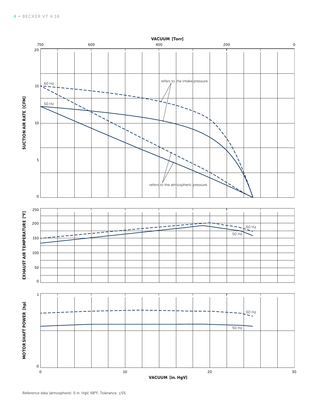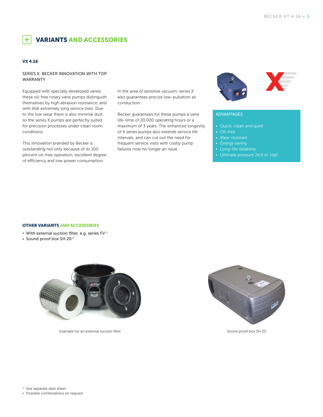VARIANTS AND ACCESSORIES

### VX 4.16

 $+$ 

#### SERIES X: BECKER INNOVATION WITH TOP WARRANTY

Equipped with specially developed vanes, these oil-free rotary vane pumps distinguish themselves by high abrasion resistance, and with that extremely long service lives. Due to the low wear there is also minimal dust, so the series X pumps are perfectly suited for precision processes under clean room conditions.

This innovation branded by Becker is outstanding not only because of its 100 percent oil-free operation, excellent degree of efficiency and low power consumption.

In the area of sensitive vacuum, series X also guarantees precise low-pulsation air conduction.

Becker guarantees for these pumps a vane life-time of 20,000 operating hours or a maximum of 3 years. The enhanced longevity of X series pumps also extends service life intervals, and can cut out the need for frequent service visits with costly pump failures now no longer an issue.



## ADVANTAGES

- Quick, clean and quiet
- Oil-free
- Wear resistant
- Energy saving
- Long-life reliability
- Ultimate pressure 26.6 in. HgV

OTHER VARIANTS AND ACCESSORIES

- **•** With external suction filter, e.g. series FV<sup>1)</sup>
- **•** Sound proof box SH 20<sup>1)</sup>



Example for an external suction filter



Sound proof box SH 20

<sup>1)</sup> See separate data sheet

**▪** Possible combinations on request